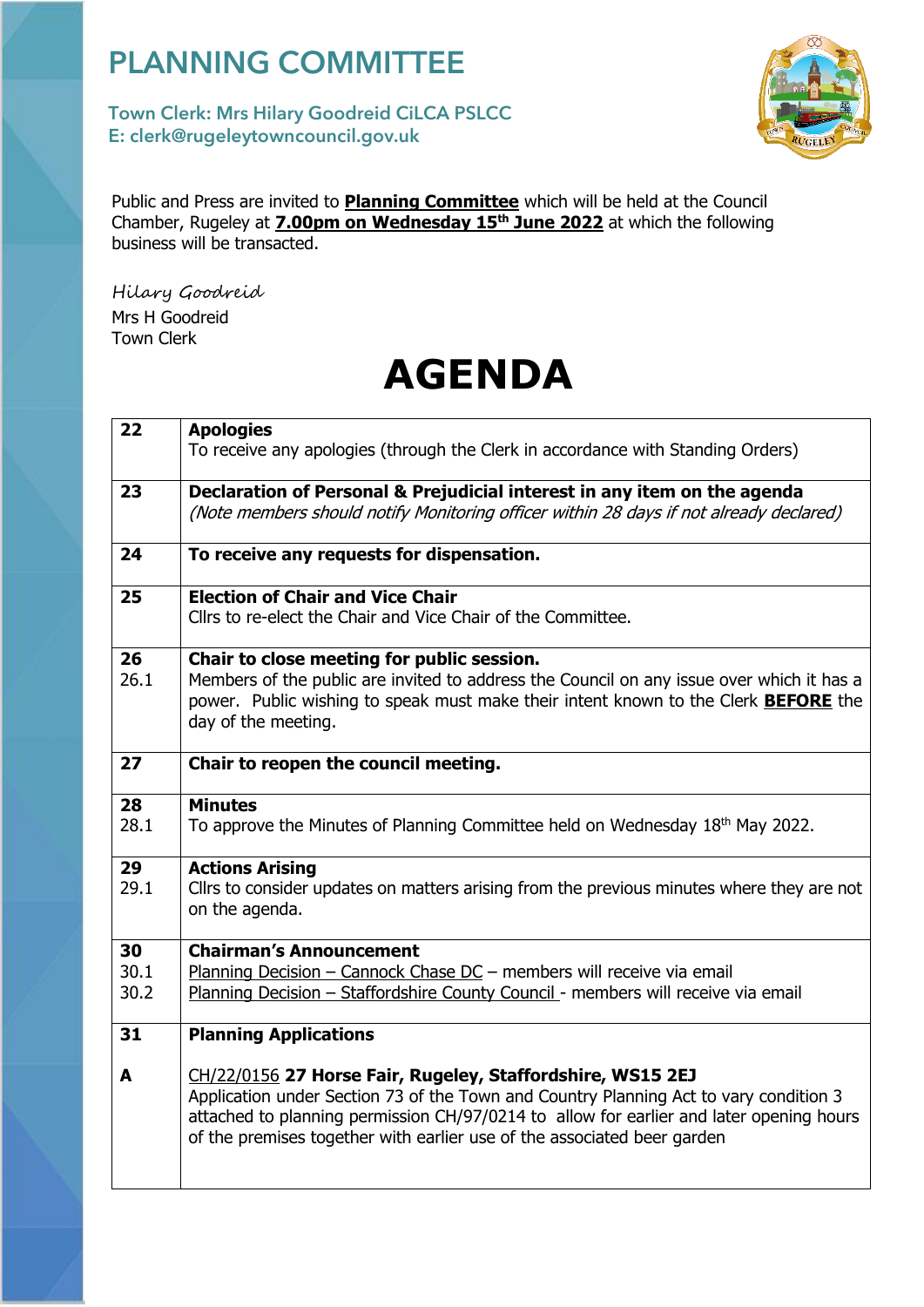## PLANNING COMMITTEE

## *4* E: clerk@rugeleytowncouncil.gov.uk Town Clerk: Mrs Hilary Goodreid CiLCA PSLCC



Public and Press are invited to **Planning Committee** which will be held at the Council Chamber, Rugeley at **7.00pm on Wednesday 15th June 2022** at which the following business will be transacted.

Hilary Goodreid Mrs H Goodreid Town Clerk

## **AGENDA**

| 22         | <b>Apologies</b><br>To receive any apologies (through the Clerk in accordance with Standing Orders)                                                                                                                                                                                                                       |
|------------|---------------------------------------------------------------------------------------------------------------------------------------------------------------------------------------------------------------------------------------------------------------------------------------------------------------------------|
| 23         | Declaration of Personal & Prejudicial interest in any item on the agenda<br>(Note members should notify Monitoring officer within 28 days if not already declared)                                                                                                                                                        |
| 24         | To receive any requests for dispensation.                                                                                                                                                                                                                                                                                 |
| 25         | <b>Election of Chair and Vice Chair</b><br>Cllrs to re-elect the Chair and Vice Chair of the Committee.                                                                                                                                                                                                                   |
| 26<br>26.1 | Chair to close meeting for public session.<br>Members of the public are invited to address the Council on any issue over which it has a<br>power. Public wishing to speak must make their intent known to the Clerk <b>BEFORE</b> the<br>day of the meeting.                                                              |
| 27         | Chair to reopen the council meeting.                                                                                                                                                                                                                                                                                      |
| 28         | <b>Minutes</b>                                                                                                                                                                                                                                                                                                            |
| 28.1       | To approve the Minutes of Planning Committee held on Wednesday 18th May 2022.                                                                                                                                                                                                                                             |
| 29<br>29.1 | <b>Actions Arising</b><br>Cllrs to consider updates on matters arising from the previous minutes where they are not<br>on the agenda.                                                                                                                                                                                     |
| 30         | <b>Chairman's Announcement</b>                                                                                                                                                                                                                                                                                            |
| 30.1       | Planning Decision - Cannock Chase DC - members will receive via email                                                                                                                                                                                                                                                     |
| 30.2       | Planning Decision - Staffordshire County Council - members will receive via email                                                                                                                                                                                                                                         |
| 31         | <b>Planning Applications</b>                                                                                                                                                                                                                                                                                              |
| A          | CH/22/0156 27 Horse Fair, Rugeley, Staffordshire, WS15 2EJ<br>Application under Section 73 of the Town and Country Planning Act to vary condition 3<br>attached to planning permission CH/97/0214 to allow for earlier and later opening hours<br>of the premises together with earlier use of the associated beer garden |